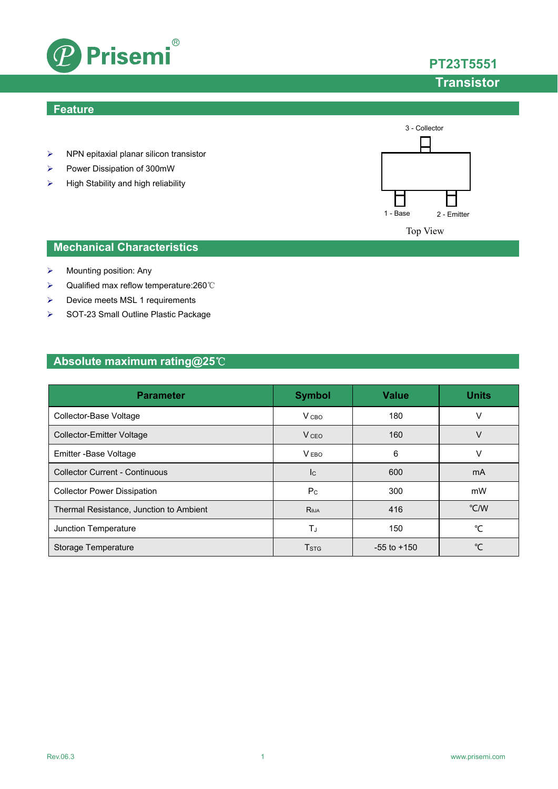

### **Feature**

- $\triangleright$  NPN epitaxial planar silicon transistor
- Power Dissipation of 300mW
- $\triangleright$  High Stability and high reliability



## **Mechanical Characteristics**

- $\triangleright$  Mounting position: Any
- Qualified max reflow temperature:260℃
- **▶** Device meets MSL 1 requirements
- SOT-23 Small Outline Plastic Package

## **Absolute maximum rating@25**℃

| <b>Parameter</b>                        | <b>Symbol</b>           | <b>Value</b>    | <b>Units</b>  |
|-----------------------------------------|-------------------------|-----------------|---------------|
| Collector-Base Voltage                  | V <sub>CBO</sub>        | 180             | ٧             |
| Collector-Emitter Voltage               | V <sub>CEO</sub>        | 160             | V             |
| Emitter - Base Voltage                  | V <sub>EBO</sub>        | 6               | ٧             |
| <b>Collector Current - Continuous</b>   | <b>I</b> c              | 600             | mA            |
| <b>Collector Power Dissipation</b>      | P <sub>C</sub>          | 300             | mW            |
| Thermal Resistance, Junction to Ambient | Reja                    | 416             | $\degree$ C/W |
| Junction Temperature                    | TJ                      | 150             | °C            |
| Storage Temperature                     | <b>T</b> <sub>STG</sub> | $-55$ to $+150$ | °⊂            |

**PT23T5551**

# **Transistor**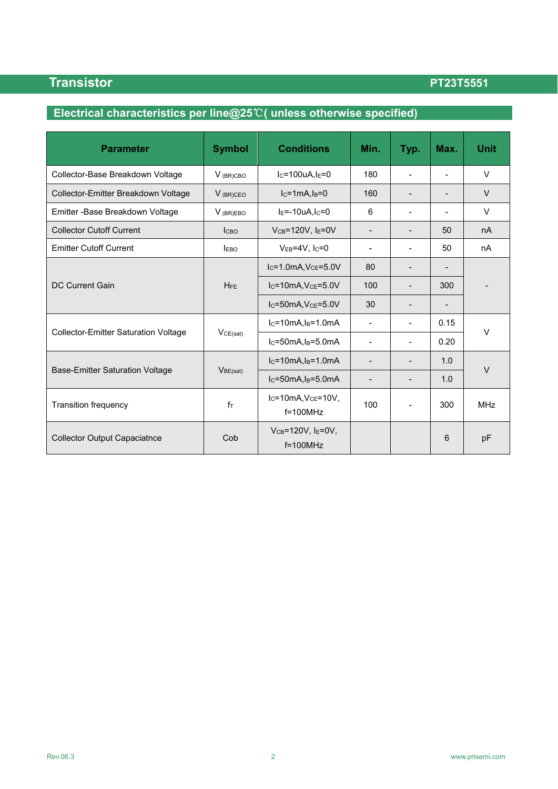# **Electrical characteristics per line@25**℃**( unless otherwise specified)**

| <b>Parameter</b>                            | <b>Symbol</b>        | <b>Conditions</b>                             | Min.                     | Typ.                     | Max.                     | <b>Unit</b> |
|---------------------------------------------|----------------------|-----------------------------------------------|--------------------------|--------------------------|--------------------------|-------------|
| Collector-Base Breakdown Voltage            | $V$ (BR)CBO          | $I_C = 100uA, I_E = 0$                        | 180                      |                          | $\overline{a}$           | $\vee$      |
| Collector-Emitter Breakdown Voltage         | $V$ (BR)CEO          | $lc=1mA, ls=0$                                | 160                      |                          |                          | $\vee$      |
| Emitter - Base Breakdown Voltage            | $V$ (BR)EBO          | $IE=-10uA, IC=0$                              | 6                        |                          |                          | $\vee$      |
| <b>Collector Cutoff Current</b>             | <b>Ісво</b>          | $V_{CB} = 120V$ , $I_E = 0V$                  | $\overline{\phantom{a}}$ |                          | 50                       | nA          |
| <b>Emitter Cutoff Current</b>               | <b>IEBO</b>          | $V_{EB} = 4V$ , Ic=0                          | $\overline{\phantom{0}}$ |                          | 50                       | nA          |
| <b>DC Current Gain</b>                      | <b>HFE</b>           | $I_C = 1.0mA, V_{CE} = 5.0V$                  | 80                       |                          |                          |             |
|                                             |                      | $IC=10mA, VCE=5.0V$                           | 100                      |                          | 300                      |             |
|                                             |                      | $lc = 50mA, VCE= 5.0V$                        | 30                       | $\overline{\phantom{0}}$ | $\overline{\phantom{a}}$ |             |
|                                             | VCE(sat)             | $I_C = 10mA$ , $I_B = 1.0mA$                  | $\blacksquare$           | $\blacksquare$           | 0.15                     |             |
| <b>Collector-Emitter Saturation Voltage</b> |                      | $lc=50mA, l_B=5.0mA$                          | $\overline{\phantom{a}}$ |                          | 0.20                     | $\vee$      |
| <b>Base-Emitter Saturation Voltage</b>      | V <sub>BE(sat)</sub> | $IC=10mA, IB=1.0mA$                           |                          |                          | 1.0                      | $\vee$      |
|                                             |                      | $I_C = 50mA$ , $I_B = 5.0mA$                  | $\blacksquare$           |                          | 1.0                      |             |
| <b>Transition frequency</b>                 | fт                   | $IC=10mA, VCE=10V,$<br>$f = 100$ MHz          | 100                      |                          | 300                      | <b>MHz</b>  |
| <b>Collector Output Capaciatnce</b>         | Cob                  | $V_{CB} = 120V$ , $I_E = 0V$ ,<br>$f=100$ MHz |                          |                          | 6                        | pF          |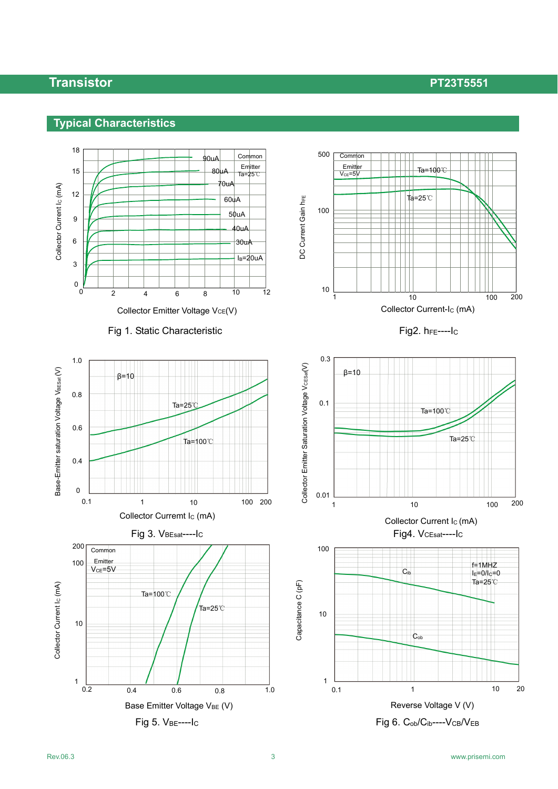# **Typical Characteristics**

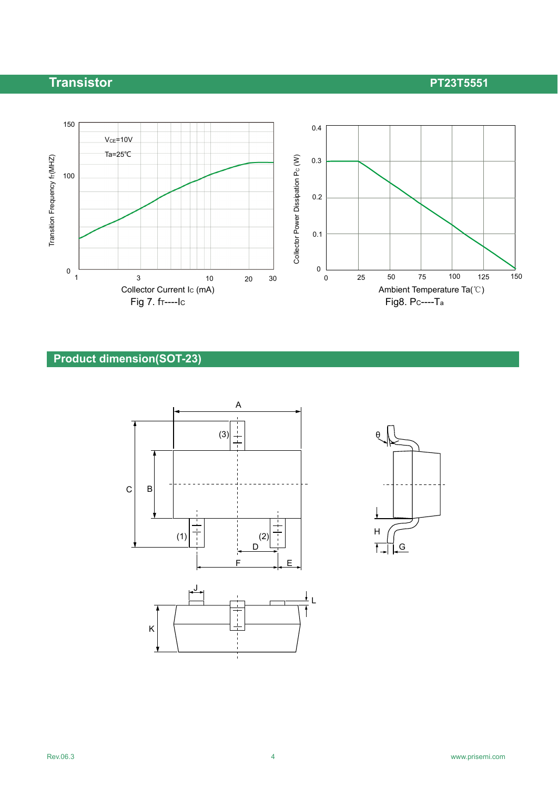



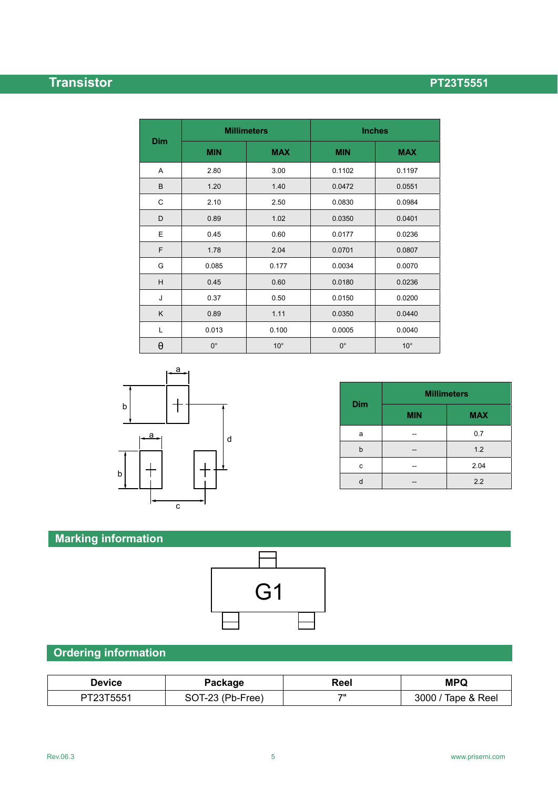|            | <b>Millimeters</b> |              | <b>Inches</b> |              |  |
|------------|--------------------|--------------|---------------|--------------|--|
| <b>Dim</b> | <b>MIN</b>         | <b>MAX</b>   | <b>MIN</b>    | <b>MAX</b>   |  |
| A          | 2.80               | 3.00         | 0.1102        | 0.1197       |  |
| B          | 1.20               | 1.40         | 0.0472        | 0.0551       |  |
| C          | 2.10               | 2.50         | 0.0830        | 0.0984       |  |
| D          | 0.89               | 1.02         | 0.0350        | 0.0401       |  |
| Ε          | 0.45               | 0.60         | 0.0177        | 0.0236       |  |
| F          | 1.78               | 2.04         | 0.0701        | 0.0807       |  |
| G          | 0.085              | 0.177        | 0.0034        | 0.0070       |  |
| H          | 0.45               | 0.60         | 0.0180        | 0.0236       |  |
| J          | 0.37               | 0.50         | 0.0150        | 0.0200       |  |
| K          | 0.89               | 1.11         | 0.0350        | 0.0440       |  |
| Г          | 0.013              | 0.100        | 0.0005        | 0.0040       |  |
| θ          | $0^{\circ}$        | $10^{\circ}$ | $0^{\circ}$   | $10^{\circ}$ |  |



| <b>Dim</b> | <b>Millimeters</b> |            |  |
|------------|--------------------|------------|--|
|            | <b>MIN</b>         | <b>MAX</b> |  |
| a          |                    | 0.7        |  |
| b          |                    | 1.2        |  |
| с          |                    | 2.04       |  |
|            |                    | 2.2        |  |

# **Marking information**



## **Ordering information**

| Device    | Package          | Reel | <b>MPQ</b>         |
|-----------|------------------|------|--------------------|
| PT23T5551 | SOT-23 (Pb-Free) | 71   | 3000 / Tape & Reel |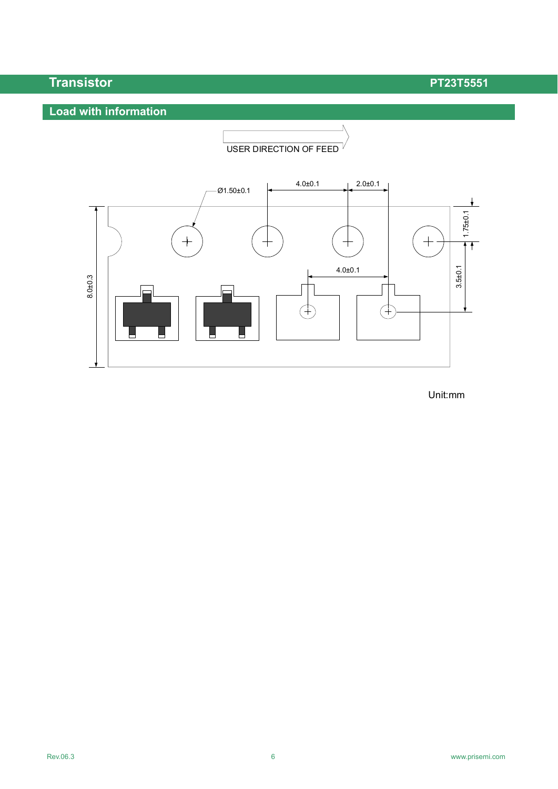# **Load with information**



Unit:mm